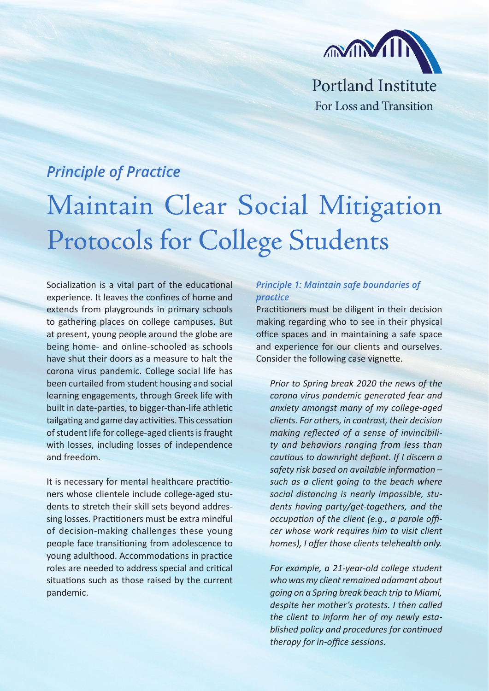

## *Principle of Practice*

## Maintain Clear Social Mitigation Protocols for College Students

Socialization is a vital part of the educational experience. It leaves the confines of home and extends from playgrounds in primary schools to gathering places on college campuses. But at present, young people around the globe are being home- and online-schooled as schools have shut their doors as a measure to halt the corona virus pandemic. College social life has been curtailed from student housing and social learning engagements, through Greek life with built in date-parties, to bigger-than-life athletic tailgating and game day activities. This cessation of student life for college-aged clients is fraught with losses, including losses of independence and freedom.

It is necessary for mental healthcare practitioners whose clientele include college-aged students to stretch their skill sets beyond addressing losses. Practitioners must be extra mindful of decision-making challenges these young people face transitioning from adolescence to young adulthood. Accommodations in practice roles are needed to address special and critical situations such as those raised by the current pandemic.

## *Principle 1: Maintain safe boundaries of practice*

Practitioners must be diligent in their decision making regarding who to see in their physical office spaces and in maintaining a safe space and experience for our clients and ourselves. Consider the following case vignette.

*Prior to Spring break 2020 the news of the corona virus pandemic generated fear and anxiety amongst many of my college-aged clients. For others, in contrast, their decision making reflected of a sense of invincibility and behaviors ranging from less than cautious to downright defiant. If I discern a safety risk based on available information – such as a client going to the beach where social distancing is nearly impossible, students having party/get-togethers, and the occupation of the client (e.g., a parole officer whose work requires him to visit client homes), I offer those clients telehealth only.* 

*For example, a 21-year-old college student who was my client remained adamant about going on a Spring break beach trip to Miami, despite her mother's protests. I then called the client to inform her of my newly established policy and procedures for continued therapy for in-office sessions.*